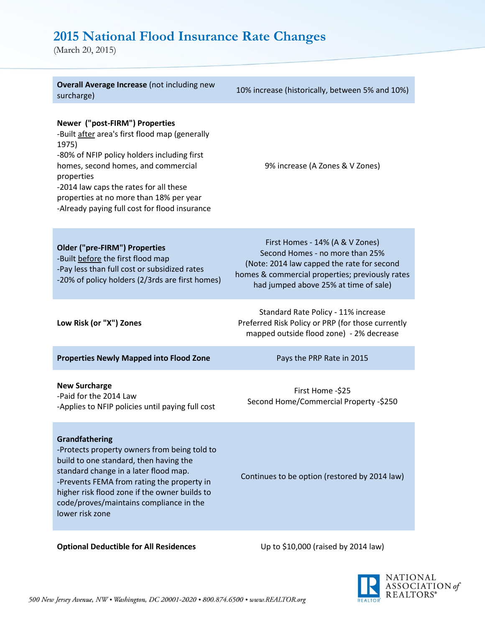## **2015 National Flood Insurance Rate Changes**

(March 20, 2015)

| <b>Overall Average Increase (not including new</b><br>surcharge)                                                                                                                                                                                                                                                                    | 10% increase (historically, between 5% and 10%)                                                                                                                                                              |
|-------------------------------------------------------------------------------------------------------------------------------------------------------------------------------------------------------------------------------------------------------------------------------------------------------------------------------------|--------------------------------------------------------------------------------------------------------------------------------------------------------------------------------------------------------------|
| Newer ("post-FIRM") Properties<br>-Built after area's first flood map (generally<br>1975)<br>-80% of NFIP policy holders including first<br>homes, second homes, and commercial<br>properties<br>-2014 law caps the rates for all these<br>properties at no more than 18% per year<br>-Already paying full cost for flood insurance | 9% increase (A Zones & V Zones)                                                                                                                                                                              |
| <b>Older ("pre-FIRM") Properties</b><br>-Built before the first flood map<br>-Pay less than full cost or subsidized rates<br>-20% of policy holders (2/3rds are first homes)                                                                                                                                                        | First Homes - 14% (A & V Zones)<br>Second Homes - no more than 25%<br>(Note: 2014 law capped the rate for second<br>homes & commercial properties; previously rates<br>had jumped above 25% at time of sale) |
| Low Risk (or "X") Zones                                                                                                                                                                                                                                                                                                             | Standard Rate Policy - 11% increase<br>Preferred Risk Policy or PRP (for those currently<br>mapped outside flood zone) - 2% decrease                                                                         |
| <b>Properties Newly Mapped into Flood Zone</b>                                                                                                                                                                                                                                                                                      | Pays the PRP Rate in 2015                                                                                                                                                                                    |
| <b>New Surcharge</b><br>-Paid for the 2014 Law<br>-Applies to NFIP policies until paying full cost                                                                                                                                                                                                                                  | First Home -\$25<br>Second Home/Commercial Property -\$250                                                                                                                                                   |
| Grandfathering<br>-Protects property owners from being told to<br>build to one standard, then having the<br>standard change in a later flood map.<br>-Prevents FEMA from rating the property in<br>higher risk flood zone if the owner builds to<br>code/proves/maintains compliance in the<br>lower risk zone                      | Continues to be option (restored by 2014 law)                                                                                                                                                                |

**Optional Deductible for All Residences** Up to \$10,000 (raised by 2014 law)